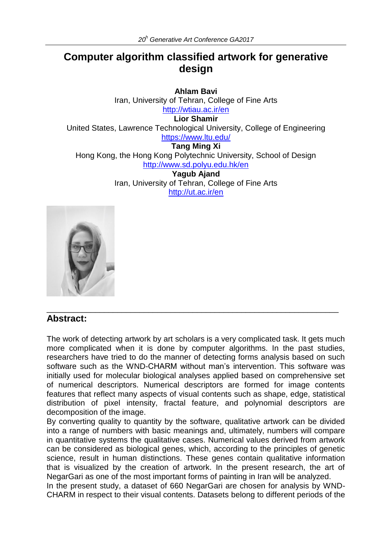# **Computer algorithm classified artwork for generative design**

**Ahlam Bavi** Iran, University of Tehran, College of Fine Arts <http://wtiau.ac.ir/en> **Lior Shamir** United States, Lawrence Technological University, College of Engineering <https://www.ltu.edu/> **Tang Ming Xi** Hong Kong, the Hong Kong Polytechnic University, School of Design <http://www.sd.polyu.edu.hk/en> **Yagub Ajand** Iran, University of Tehran, College of Fine Arts <http://ut.ac.ir/en>



## **Abstract:**

The work of detecting artwork by art scholars is a very complicated task. It gets much more complicated when it is done by computer algorithms. In the past studies, researchers have tried to do the manner of detecting forms analysis based on such software such as the WND-CHARM without man's intervention. This software was initially used for molecular biological analyses applied based on comprehensive set of numerical descriptors. Numerical descriptors are formed for image contents features that reflect many aspects of visual contents such as shape, edge, statistical distribution of pixel intensity, fractal feature, and polynomial descriptors are decomposition of the image.

\_\_\_\_\_\_\_\_\_\_\_\_\_\_\_\_\_\_\_\_\_\_\_\_\_\_\_\_\_\_\_\_\_\_\_\_\_\_\_\_\_\_\_\_\_\_\_\_\_\_\_\_\_\_\_\_\_\_\_\_\_\_\_\_\_\_

By converting quality to quantity by the software, qualitative artwork can be divided into a range of numbers with basic meanings and, ultimately, numbers will compare in quantitative systems the qualitative cases. Numerical values derived from artwork can be considered as biological genes, which, according to the principles of genetic science, result in human distinctions. These genes contain qualitative information that is visualized by the creation of artwork. In the present research, the art of NegarGari as one of the most important forms of painting in Iran will be analyzed.

In the present study, a dataset of 660 NegarGari are chosen for analysis by WND-CHARM in respect to their visual contents. Datasets belong to different periods of the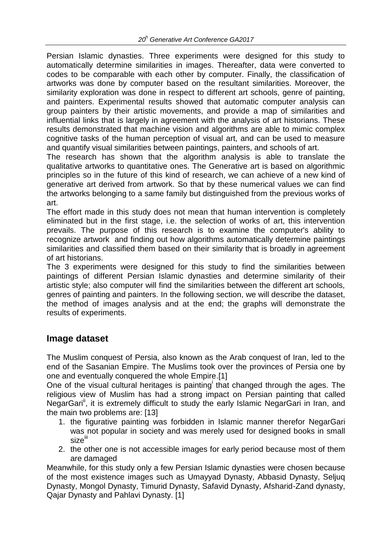Persian Islamic dynasties. Three experiments were designed for this study to automatically determine similarities in images. Thereafter, data were converted to codes to be comparable with each other by computer. Finally, the classification of artworks was done by computer based on the resultant similarities. Moreover, the similarity exploration was done in respect to different art schools, genre of painting, and painters. Experimental results showed that automatic computer analysis can group painters by their artistic movements, and provide a map of similarities and influential links that is largely in agreement with the analysis of art historians. These results demonstrated that machine vision and algorithms are able to mimic complex cognitive tasks of the human perception of visual art, and can be used to measure and quantify visual similarities between paintings, painters, and schools of art.

The research has shown that the algorithm analysis is able to translate the qualitative artworks to quantitative ones. The Generative art is based on algorithmic principles so in the future of this kind of research, we can achieve of a new kind of generative art derived from artwork. So that by these numerical values we can find the artworks belonging to a same family but distinguished from the previous works of art.

The effort made in this study does not mean that human intervention is completely eliminated but in the first stage, i.e. the selection of works of art, this intervention prevails. The purpose of this research is to examine the computer's ability to recognize artwork and finding out how algorithms automatically determine paintings similarities and classified them based on their similarity that is broadly in agreement of art historians.

The 3 experiments were designed for this study to find the similarities between paintings of different Persian Islamic dynasties and determine similarity of their artistic style; also computer will find the similarities between the different art schools, genres of painting and painters. In the following section, we will describe the dataset, the method of images analysis and at the end; the graphs will demonstrate the results of experiments.

## **Image dataset**

The Muslim conquest of Persia, also known as the Arab conquest of Iran, led to the end of the Sasanian Empire. The Muslims took over the provinces of Persia one by one and eventually conquered the whole Empire.[1]

One of the visual cultural heritages is painting that changed through the ages. The religious view of Muslim has had a strong impact on Persian painting that called NegarGari<sup>ii</sup>, it is extremely difficult to study the early Islamic NegarGari in Iran, and the main two problems are: [13]

- 1. the figurative painting was forbidden in Islamic manner therefor NegarGari was not popular in society and was merely used for designed books in small sizeiii
- 2. the other one is not accessible images for early period because most of them are damaged

Meanwhile, for this study only a few Persian Islamic dynasties were chosen because of the most existence images such as Umayyad Dynasty, Abbasid Dynasty, Seljuq Dynasty, Mongol Dynasty, Timurid Dynasty, Safavid Dynasty, Afsharid-Zand dynasty, Qajar Dynasty and Pahlavi Dynasty. [1]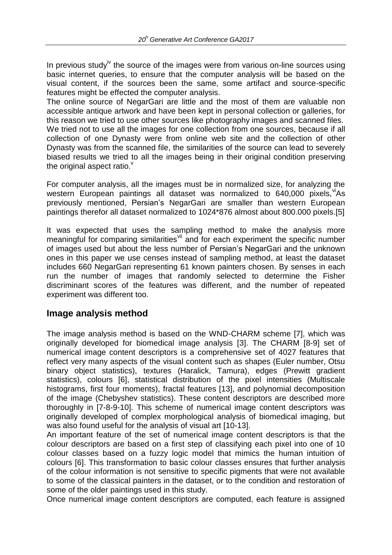In previous study<sup>iv</sup> the source of the images were from various on-line sources using basic internet queries, to ensure that the computer analysis will be based on the visual content, if the sources been the same, some artifact and source-specific features might be effected the computer analysis.

The online source of NegarGari are little and the most of them are valuable non accessible antique artwork and have been kept in personal collection or galleries, for this reason we tried to use other sources like photography images and scanned files. We tried not to use all the images for one collection from one sources, because if all collection of one Dynasty were from online web site and the collection of other Dynasty was from the scanned file, the similarities of the source can lead to severely biased results we tried to all the images being in their original condition preserving the original aspect ratio. $<sup>v</sup>$ </sup>

For computer analysis, all the images must be in normalized size, for analyzing the western European paintings all dataset was normalized to  $640,000$  pixels,  $MAS$ previously mentioned, Persian's NegarGari are smaller than western European paintings therefor all dataset normalized to 1024\*876 almost about 800.000 pixels.[5]

It was expected that uses the sampling method to make the analysis more meaningful for comparing similarities<sup>vii</sup> and for each experiment the specific number of images used but about the less number of Persian's NegarGari and the unknown ones in this paper we use censes instead of sampling method, at least the dataset includes 660 NegarGari representing 61 known painters chosen. By senses in each run the number of images that randomly selected to determine the Fisher discriminant scores of the features was different, and the number of repeated experiment was different too.

### **Image analysis method**

The image analysis method is based on the WND-CHARM scheme [7], which was originally developed for biomedical image analysis [3]. The CHARM [8-9] set of numerical image content descriptors is a comprehensive set of 4027 features that reflect very many aspects of the visual content such as shapes (Euler number, Otsu binary object statistics), textures (Haralick, Tamura), edges (Prewitt gradient statistics), colours [6], statistical distribution of the pixel intensities (Multiscale histograms, first four moments), fractal features [13], and polynomial decomposition of the image (Chebyshev statistics). These content descriptors are described more thoroughly in [7-8-9-10]. This scheme of numerical image content descriptors was originally developed of complex morphological analysis of biomedical imaging, but was also found useful for the analysis of visual art [10-13].

An important feature of the set of numerical image content descriptors is that the colour descriptors are based on a first step of classifying each pixel into one of 10 colour classes based on a fuzzy logic model that mimics the human intuition of colours [6]. This transformation to basic colour classes ensures that further analysis of the colour information is not sensitive to specific pigments that were not available to some of the classical painters in the dataset, or to the condition and restoration of some of the older paintings used in this study.

Once numerical image content descriptors are computed, each feature is assigned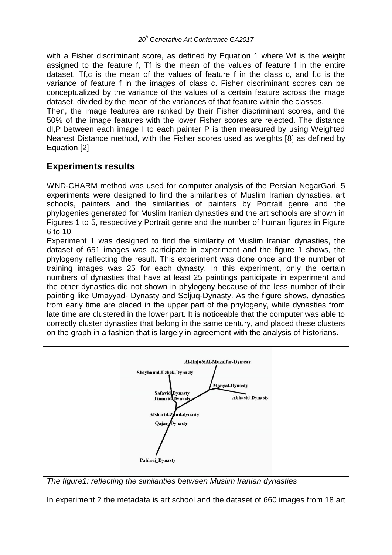with a Fisher discriminant score, as defined by Equation 1 where Wf is the weight assigned to the feature f, Tf is the mean of the values of feature f in the entire dataset, Tf,c is the mean of the values of feature f in the class c, and f,c is the variance of feature f in the images of class c. Fisher discriminant scores can be conceptualized by the variance of the values of a certain feature across the image dataset, divided by the mean of the variances of that feature within the classes.

Then, the image features are ranked by their Fisher discriminant scores, and the 50% of the image features with the lower Fisher scores are rejected. The distance dI,P between each image I to each painter P is then measured by using Weighted Nearest Distance method, with the Fisher scores used as weights [8] as defined by Equation.[2]

## **Experiments results**

WND-CHARM method was used for computer analysis of the Persian NegarGari. 5 experiments were designed to find the similarities of Muslim Iranian dynasties, art schools, painters and the similarities of painters by Portrait genre and the phylogenies generated for Muslim Iranian dynasties and the art schools are shown in Figures 1 to 5, respectively Portrait genre and the number of human figures in Figure 6 to 10.

Experiment 1 was designed to find the similarity of Muslim Iranian dynasties, the dataset of 651 images was participate in experiment and the figure 1 shows, the phylogeny reflecting the result. This experiment was done once and the number of training images was 25 for each dynasty. In this experiment, only the certain numbers of dynasties that have at least 25 paintings participate in experiment and the other dynasties did not shown in phylogeny because of the less number of their painting like Umayyad- Dynasty and Seljuq-Dynasty. As the figure shows, dynasties from early time are placed in the upper part of the phylogeny, while dynasties from late time are clustered in the lower part. It is noticeable that the computer was able to correctly cluster dynasties that belong in the same century, and placed these clusters on the graph in a fashion that is largely in agreement with the analysis of historians.



In experiment 2 the metadata is art school and the dataset of 660 images from 18 art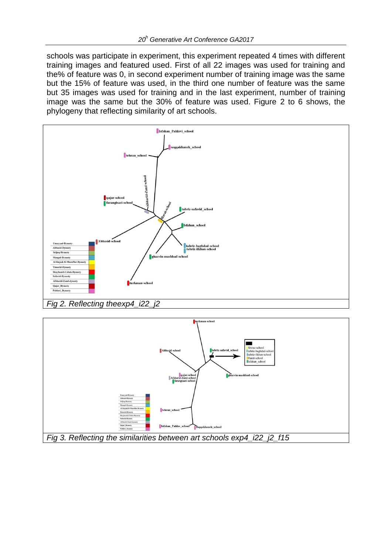schools was participate in experiment, this experiment repeated 4 times with different training images and featured used. First of all 22 images was used for training and the% of feature was 0, in second experiment number of training image was the same but the 15% of feature was used, in the third one number of feature was the same but 35 images was used for training and in the last experiment, number of training image was the same but the 30% of feature was used. Figure 2 to 6 shows, the phylogeny that reflecting similarity of art schools.



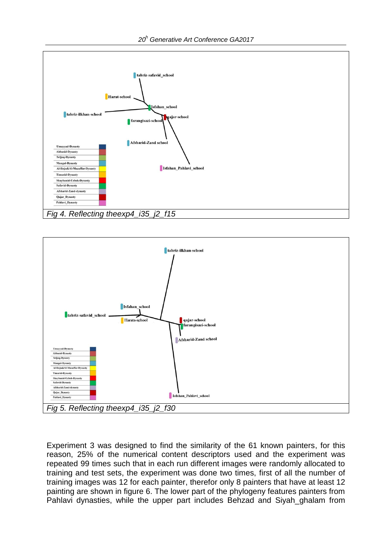



Experiment 3 was designed to find the similarity of the 61 known painters, for this reason, 25% of the numerical content descriptors used and the experiment was repeated 99 times such that in each run different images were randomly allocated to training and test sets, the experiment was done two times, first of all the number of training images was 12 for each painter, therefor only 8 painters that have at least 12 painting are shown in figure 6. The lower part of the phylogeny features painters from Pahlavi dynasties, while the upper part includes Behzad and Siyah\_ghalam from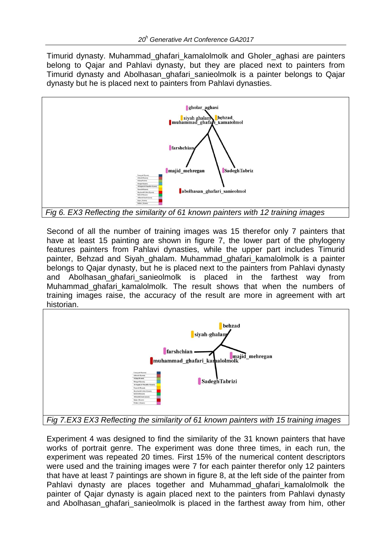Timurid dynasty. Muhammad\_ghafari\_kamalolmolk and Gholer\_aghasi are painters belong to Qajar and Pahlavi dynasty, but they are placed next to painters from Timurid dynasty and Abolhasan\_ghafari\_sanieolmolk is a painter belongs to Qajar dynasty but he is placed next to painters from Pahlavi dynasties.



*Fig 6. EX3 Reflecting the similarity of 61 known painters with 12 training images*

Second of all the number of training images was 15 therefor only 7 painters that have at least 15 painting are shown in figure 7, the lower part of the phylogeny features painters from Pahlavi dynasties, while the upper part includes Timurid painter, Behzad and Siyah\_ghalam. Muhammad\_ghafari\_kamalolmolk is a painter belongs to Qajar dynasty, but he is placed next to the painters from Pahlavi dynasty and Abolhasan\_ghafari\_sanieolmolk is placed in the farthest way from Muhammad ghafari kamalolmolk. The result shows that when the numbers of training images raise, the accuracy of the result are more in agreement with art historian.



*Fig 7.EX3 EX3 Reflecting the similarity of 61 known painters with 15 training images*

Experiment 4 was designed to find the similarity of the 31 known painters that have works of portrait genre. The experiment was done three times, in each run, the experiment was repeated 20 times. First 15% of the numerical content descriptors were used and the training images were 7 for each painter therefor only 12 painters that have at least 7 paintings are shown in figure 8, at the left side of the painter from Pahlavi dynasty are places together and Muhammad ghafari kamalolmolk the painter of Qajar dynasty is again placed next to the painters from Pahlavi dynasty and Abolhasan ghafari sanieolmolk is placed in the farthest away from him, other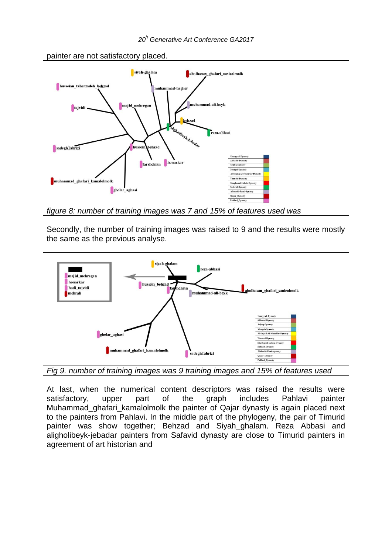

Secondly, the number of training images was raised to 9 and the results were mostly the same as the previous analyse.



At last, when the numerical content descriptors was raised the results were satisfactory, upper part of the graph includes Pahlavi painter Muhammad ghafari kamalolmolk the painter of Qajar dynasty is again placed next to the painters from Pahlavi. In the middle part of the phylogeny, the pair of Timurid painter was show together; Behzad and Siyah\_ghalam. Reza Abbasi and aligholibeyk-jebadar painters from Safavid dynasty are close to Timurid painters in agreement of art historian and

painter are not satisfactory placed.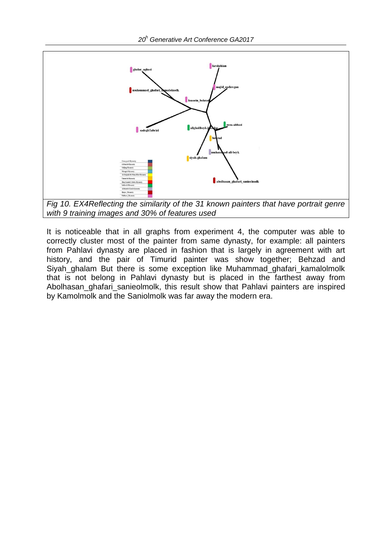

It is noticeable that in all graphs from experiment 4, the computer was able to correctly cluster most of the painter from same dynasty, for example: all painters from Pahlavi dynasty are placed in fashion that is largely in agreement with art history, and the pair of Timurid painter was show together; Behzad and Siyah\_ghalam But there is some exception like Muhammad\_ghafari\_kamalolmolk that is not belong in Pahlavi dynasty but is placed in the farthest away from Abolhasan ghafari sanieolmolk, this result show that Pahlavi painters are inspired by Kamolmolk and the Saniolmolk was far away the modern era.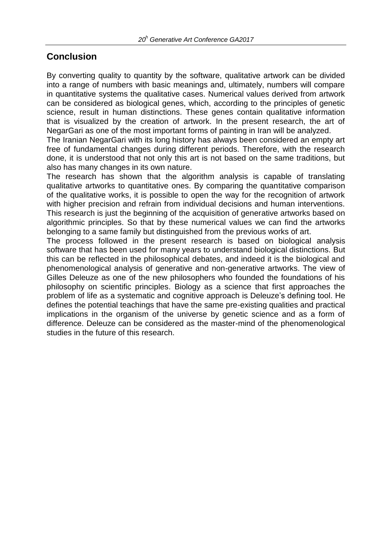## **Conclusion**

By converting quality to quantity by the software, qualitative artwork can be divided into a range of numbers with basic meanings and, ultimately, numbers will compare in quantitative systems the qualitative cases. Numerical values derived from artwork can be considered as biological genes, which, according to the principles of genetic science, result in human distinctions. These genes contain qualitative information that is visualized by the creation of artwork. In the present research, the art of NegarGari as one of the most important forms of painting in Iran will be analyzed.

The Iranian NegarGari with its long history has always been considered an empty art free of fundamental changes during different periods. Therefore, with the research done, it is understood that not only this art is not based on the same traditions, but also has many changes in its own nature.

The research has shown that the algorithm analysis is capable of translating qualitative artworks to quantitative ones. By comparing the quantitative comparison of the qualitative works, it is possible to open the way for the recognition of artwork with higher precision and refrain from individual decisions and human interventions. This research is just the beginning of the acquisition of generative artworks based on algorithmic principles. So that by these numerical values we can find the artworks belonging to a same family but distinguished from the previous works of art.

The process followed in the present research is based on biological analysis software that has been used for many years to understand biological distinctions. But this can be reflected in the philosophical debates, and indeed it is the biological and phenomenological analysis of generative and non-generative artworks. The view of Gilles Deleuze as one of the new philosophers who founded the foundations of his philosophy on scientific principles. Biology as a science that first approaches the problem of life as a systematic and cognitive approach is Deleuze's defining tool. He defines the potential teachings that have the same pre-existing qualities and practical implications in the organism of the universe by genetic science and as a form of difference. Deleuze can be considered as the master-mind of the phenomenological studies in the future of this research.